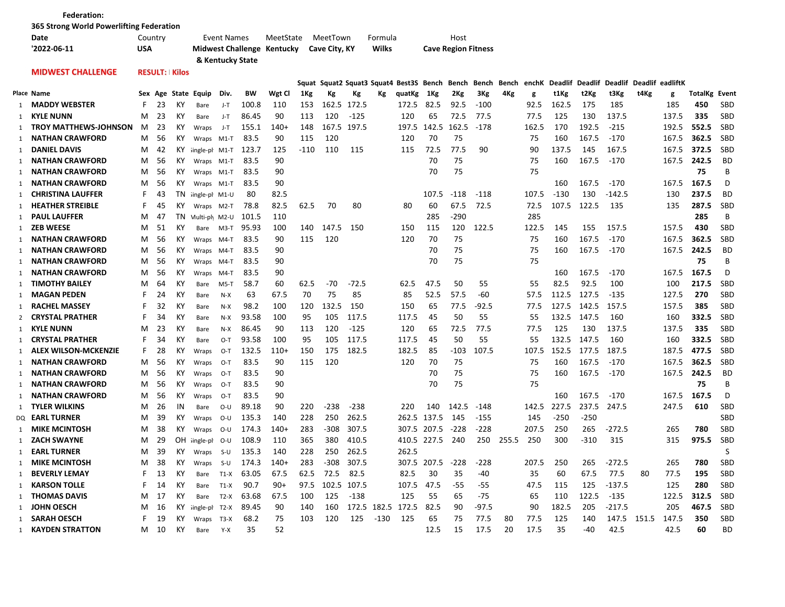|    | <b>Federation:</b>                       |     |                               |                      |                     |                  |       |                            |      |                  |         |             |                                               |                  |                            |         |       |       |         |         |                          |             |       |                      |            |
|----|------------------------------------------|-----|-------------------------------|----------------------|---------------------|------------------|-------|----------------------------|------|------------------|---------|-------------|-----------------------------------------------|------------------|----------------------------|---------|-------|-------|---------|---------|--------------------------|-------------|-------|----------------------|------------|
|    | 365 Strong World Powerlifting Federation |     |                               |                      |                     |                  |       |                            |      |                  |         |             |                                               |                  |                            |         |       |       |         |         |                          |             |       |                      |            |
|    | Date                                     |     | <b>Event Names</b><br>Country |                      |                     |                  |       | MeetState                  |      | MeetTown         |         | Formula     |                                               | Host             |                            |         |       |       |         |         |                          |             |       |                      |            |
|    | '2022-06-11                              | USA |                               |                      |                     |                  |       | Midwest Challenge Kentucky |      | Cave City, KY    |         | Wilks       |                                               |                  | <b>Cave Region Fitness</b> |         |       |       |         |         |                          |             |       |                      |            |
|    |                                          |     |                               |                      |                     | & Kentucky State |       |                            |      |                  |         |             |                                               |                  |                            |         |       |       |         |         |                          |             |       |                      |            |
|    | <b>MIDWEST CHALLENGE</b>                 |     |                               | <b>RESULT: Kilos</b> |                     |                  |       |                            |      |                  |         |             |                                               |                  |                            |         |       |       |         |         |                          |             |       |                      |            |
|    |                                          |     |                               |                      |                     |                  |       |                            |      |                  |         |             | Squat Squat2 Squat3 Squat4 Best3S Bench Bench |                  |                            | Bench   | Bench | enchK | Deadlif | Deadlif | Deadlif Deadlif eadliftK |             |       |                      |            |
|    | Place Name                               |     |                               |                      | Sex Age State Equip | Div.             | ВW    | Wgt Cl                     | 1Kg  | Кg               | Кg      | Кg          | quatKg                                        | 1Kg              | 2Kg                        | 3Kg     | 4Kg   | g     | t1Kg    | t2Kg    | t3Kg                     | t4Kg        | g     | <b>TotalKg Event</b> |            |
| 1  | <b>MADDY WEBSTER</b>                     | F   | 23                            | КY                   | Bare                | J-T              | 100.8 | 110                        | 153  | 162.5            | 172.5   |             | 172.5                                         | 82.5             | 92.5                       | $-100$  |       | 92.5  | 162.5   | 175     | 185                      |             | 185   | 450                  | SBD        |
| 1  | <b>KYLE NUNN</b>                         | M   | 23                            | К١                   | Bare                | J-T              | 86.45 | 90                         | 113  | 120              | $-125$  |             | 120                                           | 65               | 72.5                       | 77.5    |       | 77.5  | 125     | 130     | 137.5                    |             | 137.5 | 335                  | SBD        |
| 1  | <b>TROY MATTHEWS-JOHNSON</b>             | M   | 23                            | ΚY                   | Wraps               | J-T              | 155.1 | 140+                       | 148  | 167.5            | 197.5   |             | 197.5                                         | 142.5            | 162.5                      | -178    |       | 162.5 | 170     | 192.5   | $-215$                   |             | 192.5 | 552.5                | SBD        |
| 1  | <b>NATHAN CRAWFORD</b>                   | M   | 56                            | ΚY                   | Wraps               | M1-T             | 83.5  | 90                         | 115  | 120              |         |             | 120                                           | 70               | 75                         |         |       | 75    | 160     | 167.5   | -170                     |             | 167.5 | 362.5                | SBD        |
| 1  | <b>DANIEL DAVIS</b>                      | M   | 42                            | ΚY                   | ingle-pl M1-T       |                  | 123.7 | 125                        | -110 | 110              | 115     |             | 115                                           | 72.5             | 77.5                       | 90      |       | 90    | 137.5   | 145     | 167.5                    |             | 167.5 | 372.5                | <b>SBD</b> |
| -1 | <b>NATHAN CRAWFORD</b>                   | M   | 56                            | КY                   | Wraps M1-T          |                  | 83.5  | 90                         |      |                  |         |             |                                               | 70               | 75                         |         |       | 75    | 160     | 167.5   | $-170$                   |             | 167.5 | 242.5                | <b>BD</b>  |
| -1 | <b>NATHAN CRAWFORD</b>                   | м   | 56                            | КY                   | Wraps M1-T          |                  | 83.5  | 90                         |      |                  |         |             |                                               | 70               | 75                         |         |       | 75    |         |         |                          |             |       | 75                   | B          |
| 1  | <b>NATHAN CRAWFORD</b>                   | М   | 56                            | ΚY                   | Wraps               | M1-T             | 83.5  | 90                         |      |                  |         |             |                                               |                  |                            |         |       |       | 160     | 167.5   | -170                     |             | 167.5 | 167.5                | D          |
| 1  | <b>CHRISTINA LAUFFER</b>                 | F   | 43                            | ΤN                   | ingle-pl M1-U       |                  | 80    | 82.5                       |      |                  |         |             |                                               | 107.5            | $-118$                     | $-118$  |       | 107.5 | $-130$  | 130     | $-142.5$                 |             | 130   | 237.5                | <b>BD</b>  |
| 1  | <b>HEATHER STREIBLE</b>                  | F   | 45                            | ΚY                   | Wraps M2-T          |                  | 78.8  | 82.5                       | 62.5 | 70               | 80      |             | 80                                            | 60               | 67.5                       | 72.5    |       | 72.5  | 107.5   | 122.5   | 135                      |             | 135   | 287.5                | SBD        |
| 1  | <b>PAUL LAUFFER</b>                      | м   | 47                            | ΤN                   | Multi-ph M2-U       |                  | 101.5 | 110                        |      |                  |         |             |                                               | 285              | $-290$                     |         |       | 285   |         |         |                          |             |       | 285                  | B          |
| 1  | <b>ZEB WEESE</b>                         | м   | 51                            | КY                   | Bare                | M3-T             | 95.93 | 100                        | 140  | 147.5            | 150     |             | 150                                           | 115              | 120                        | 122.5   |       | 122.5 | 145     | 155     | 157.5                    |             | 157.5 | 430                  | <b>SBD</b> |
| 1  | <b>NATHAN CRAWFORD</b>                   | M   | 56                            | К۲                   | Wraps               | M4-T             | 83.5  | 90                         | 115  | 120              |         |             | 120                                           | 70               | 75                         |         |       | 75    | 160     | 167.5   | -170                     |             | 167.5 | 362.5                | <b>SBD</b> |
| 1  | <b>NATHAN CRAWFORD</b>                   | M   | 56                            | ΚY                   | Wraps               | M4-T             | 83.5  | 90                         |      |                  |         |             |                                               | 70               | 75                         |         |       | 75    | 160     | 167.5   | $-170$                   |             | 167.5 | 242.5                | <b>BD</b>  |
| 1  | <b>NATHAN CRAWFORD</b>                   | M   | 56                            | ΚY                   | Wraps               | M4-T             | 83.5  | 90                         |      |                  |         |             |                                               | 70               | 75                         |         |       | 75    |         |         |                          |             |       | 75                   | B          |
| 1  | NATHAN CRAWFORD                          | м   | 56                            | ΚY                   | Wraps               | M4-T             | 83.5  | 90                         |      |                  |         |             |                                               |                  |                            |         |       |       | 160     | 167.5   | -170                     |             | 167.5 | 167.5                | D          |
| 1  | <b>TIMOTHY BAILEY</b>                    | M   | 64                            | К١                   | Bare                | M5-T             | 58.7  | 60                         | 62.5 | -70              | $-72.5$ |             | 62.5                                          | 47.5             | 50                         | 55      |       | 55    | 82.5    | 92.5    | 100                      |             | 100   | 217.5                | <b>SBD</b> |
| 1  | <b>MAGAN PEDEN</b>                       | F   | 24                            | К١                   | Bare                | $N-X$            | 63    | 67.5                       | 70   | 75               | 85      |             | 85                                            | 52.5             | 57.5                       | -60     |       | 57.5  | 112.5   | 127.5   | $-135$                   |             | 127.5 | 270                  | <b>SBD</b> |
| 1  | <b>RACHEL MASSEY</b>                     | F   | 32                            | ΚY                   | Bare                | N-X              | 98.2  | 100                        | 120  | 132.5            | 150     |             | 150                                           | 65               | 77.5                       | -92.5   |       | 77.5  | 127.5   | 142.5   | 157.5                    |             | 157.5 | 385                  | SBD        |
| 2  | <b>CRYSTAL PRATHER</b>                   | F   | 34                            | ΚY                   | Bare                | $N-X$            | 93.58 | 100                        | 95   | 105              | 117.5   |             | 117.5                                         | 45               | 50                         | 55      |       | 55    | 132.5   | 147.5   | 160                      |             | 160   | 332.5                | SBD        |
| 1  | <b>KYLE NUNN</b>                         | M   | 23                            | К١                   | Bare                | N-X              | 86.45 | 90                         | 113  | 120              | $-125$  |             | 120                                           | 65               | 72.5                       | 77.5    |       | 77.5  | 125     | 130     | 137.5                    |             | 137.5 | 335                  | <b>SBD</b> |
| -1 | <b>CRYSTAL PRATHER</b>                   | F   | 34                            | К١                   | Bare                | $O-T$            | 93.58 | 100                        | 95   | 105              | 117.5   |             | 117.5                                         | 45               | 50                         | 55      |       | 55    | 132.5   | 147.5   | 160                      |             | 160   | 332.5                | SBD        |
| 1  | <b>ALEX WILSON-MCKENZIE</b>              | F   | 28                            | ΚY                   | Wraps               | $O-T$            | 132.5 | $110+$                     | 150  | 175              | 182.5   |             | 182.5                                         | 85               | -103                       | 107.5   |       | 107.5 | 152.5   | 177.5   | 187.5                    |             | 187.5 | 477.5                | SBD        |
| -1 | <b>NATHAN CRAWFORD</b>                   | м   | 56                            | ΚY                   | Wraps               | $O-T$            | 83.5  | 90                         | 115  | 120              |         |             | 120                                           | 70               | 75                         |         |       | 75    | 160     | 167.5   | -170                     |             | 167.5 | 362.5                | <b>SBD</b> |
| 1  | <b>NATHAN CRAWFORD</b>                   | M   | 56                            | ΚY                   | Wraps               | $O-T$            | 83.5  | 90                         |      |                  |         |             |                                               | 70               | 75                         |         |       | 75    | 160     | 167.5   | -170                     |             | 167.5 | 242.5                | <b>BD</b>  |
| 1  | <b>NATHAN CRAWFORD</b>                   | M   | 56                            | ΚY                   | Wraps               | $O-T$            | 83.5  | 90                         |      |                  |         |             |                                               | 70               | 75                         |         |       | 75    |         |         |                          |             |       | 75                   | B          |
| 1  | <b>NATHAN CRAWFORD</b>                   | м   | 56                            | КY                   | Wraps               | O-T              | 83.5  | 90                         |      |                  |         |             |                                               |                  |                            |         |       |       | 160     | 167.5   | -170                     |             | 167.5 | 167.5                | D          |
| 1  | <b>TYLER WILKINS</b>                     | м   | 26                            | ΙN                   | Bare                | 0-U              | 89.18 | 90                         | 220  | $-238$           | $-238$  |             | 220                                           | 140              | 142.5                      | -148    |       | 142.5 | 227.5   | 237.5   | 247.5                    |             | 247.5 | 610                  | SBD        |
|    | DO <b>EARL TURNER</b>                    | M   | 39                            | ΚY                   | Wraps               | 0-U              | 135.3 | 140                        | 228  | 250              | 262.5   |             | 262.5                                         | 137.5            | 145                        | -155    |       | 145   | $-250$  | -250    |                          |             |       |                      | SBD        |
| -1 | <b>MIKE MCINTOSH</b>                     | M   | 38                            | ΚY                   | Wraps               | 0-U              | 174.3 | 140+                       | 283  | -308             | 307.5   |             | 307.5                                         | 207.5            | $-228$                     | -228    |       | 207.5 | 250     | 265     | $-272.5$                 |             | 265   | 780                  | SBD        |
| 1  | ZACH SWAYNE                              | M   | 29                            | OН                   | ingle-pl            | 0-U              | 108.9 | 110                        | 365  | 380              | 410.5   |             | 410.5                                         | 227.5            | 240                        | 250     | 255.5 | 250   | 300     | -310    | 315                      |             | 315   | 975.5                | SBD        |
|    | 1 <b>EARL TURNER</b>                     | M   | 39                            | ΚY                   | Wraps               | S-U              | 135.3 | 140                        | 228  | 250              | 262.5   |             | 262.5                                         |                  |                            |         |       |       |         |         |                          |             |       |                      | S          |
|    | 1 MIKE MCINTOSH                          | M   | 38                            | KY                   | Wraps               | $S-U$            | 174.3 | $140+$                     | 283  | -308             | 307.5   |             |                                               | 307.5 207.5 -228 |                            | $-228$  |       | 207.5 | 250     | 265     | $-272.5$                 |             | 265   | 780                  | SBD        |
|    | 1 BEVERLY LEMAY                          | F   | 13                            | КY                   | Bare                | $T1-X$           | 63.05 | 67.5                       | 62.5 | 72.5             | 82.5    |             | 82.5                                          | 30               | 35                         | -40     |       | 35    | 60      | 67.5    | 77.5                     | 80          | 77.5  | 195                  | SBD        |
|    | 1 KARSON TOLLE                           | F   | 14                            | КY                   | Bare                | $T1-X$           | 90.7  | $90+$                      |      | 97.5 102.5 107.5 |         |             | 107.5 47.5                                    |                  | $-55$                      | $-55$   |       | 47.5  | 115     | 125     | $-137.5$                 |             | 125   | 280                  | SBD        |
|    | 1 THOMAS DAVIS                           | M   | 17                            | КY                   |                     | Bare T2-X        | 63.68 | 67.5                       | 100  | 125              | $-138$  |             | 125                                           | 55               | 65                         | -75     |       | 65    | 110     | 122.5   | -135                     |             | 122.5 | 312.5 SBD            |            |
|    | 1 JOHN OESCH                             | M   | 16                            |                      | KY iingle-pl T2-X   |                  | 89.45 | 90                         | 140  | 160              |         | 172.5 182.5 | 172.5                                         | 82.5             | 90                         | $-97.5$ |       | 90    | 182.5   | 205     | $-217.5$                 |             | 205   | 467.5                | SBD        |
|    | 1 SARAH OESCH                            | F.  | 19                            | KY                   | Wraps T3-X          |                  | 68.2  | 75                         | 103  | 120              |         | 125 -130    | 125                                           | 65               | 75                         | 77.5    | 80    | 77.5  | 125     | 140     |                          | 147.5 151.5 | 147.5 | 350                  | SBD        |
|    | 1 KAYDEN STRATTON                        | M   | 10                            | КY                   | Bare                | $Y-X$            | 35    | 52                         |      |                  |         |             |                                               | 12.5             | 15                         | 17.5    | 20    | 17.5  | 35      | -40     | 42.5                     |             | 42.5  | 60                   | <b>BD</b>  |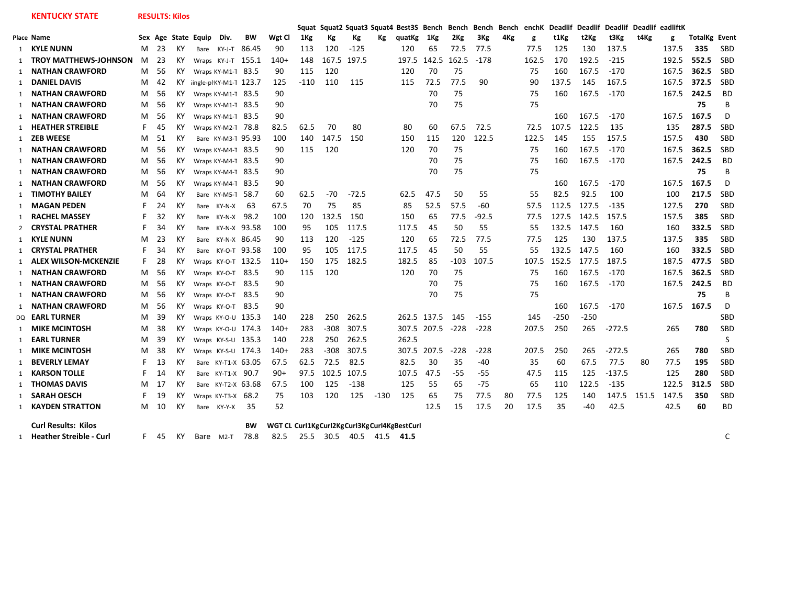**KENTUCKY STATE RESULTS: Kilos**

|   |                              |    |     |    |                        |                      |           |                                             | Sauat  |        |         |        | Squat2 Squat3 Squat4 Best3S Bench |             | Bench  |         |     | Bench Bench enchK | <b>Deadlif</b> |        | Deadlif Deadlif Deadlif eadliftK |       |       |                      |            |
|---|------------------------------|----|-----|----|------------------------|----------------------|-----------|---------------------------------------------|--------|--------|---------|--------|-----------------------------------|-------------|--------|---------|-----|-------------------|----------------|--------|----------------------------------|-------|-------|----------------------|------------|
|   | Place Name                   |    |     |    | Sex Age State Equip    | Div.                 | ВW        | Wgt Cl                                      | 1Kg    | Кg     | Кg      | Кg     | quatKg                            | 1Kg         | 2Kg    | 3Kg     | 4Kg | g                 | t1Kg           | t2Kg   | t3Kg                             | t4Kg  | g     | <b>TotalKg Event</b> |            |
|   | 1 KYLE NUNN                  | M  | -23 | КY |                        | Bare KY-J-T          | 86.45     | 90                                          | 113    | 120    | $-125$  |        | 120                               | 65          | 72.5   | 77.5    |     | 77.5              | 125            | 130    | 137.5                            |       | 137.5 | 335                  | SBD        |
|   | <b>TROY MATTHEWS-JOHNSON</b> | M  | 23  | ΚY |                        | Wraps KY-J-T 155.1   |           | $140+$                                      | 148    | 167.5  | 197.5   |        | 197.5                             | 142.5       | 162.5  | -178    |     | 162.5             | 170            | 192.5  | $-215$                           |       | 192.5 | 552.5                | <b>SBD</b> |
| 1 | <b>NATHAN CRAWFORD</b>       | м  | 56  | ΚY |                        | Wraps KY-M1-T 83.5   |           | 90                                          | 115    | 120    |         |        | 120                               | 70          | 75     |         |     | 75                | 160            | 167.5  | $-170$                           |       | 167.5 | 362.5                | SBD        |
| 1 | <b>DANIEL DAVIS</b>          | М  | 42  | ΚY | ingle-pl KY-M1-T 123.7 |                      |           | 125                                         | $-110$ | 110    | 115     |        | 115                               | 72.5        | 77.5   | 90      |     | 90                | 137.5          | 145    | 167.5                            |       | 167.5 | 372.5                | SBD        |
| 1 | <b>NATHAN CRAWFORD</b>       | М  | 56  | ΚY |                        | Wraps KY-M1-T 83.5   |           | 90                                          |        |        |         |        |                                   | 70          | 75     |         |     | 75                | 160            | 167.5  | $-170$                           |       | 167.5 | 242.5                | <b>BD</b>  |
| 1 | <b>NATHAN CRAWFORD</b>       | M  | -56 | ΚY |                        | Wraps KY-M1-T 83.5   |           | 90                                          |        |        |         |        |                                   | 70          | 75     |         |     | 75                |                |        |                                  |       |       | 75                   | B          |
| 1 | <b>NATHAN CRAWFORD</b>       | M  | 56  | KΥ |                        | Wraps KY-M1-T 83.5   |           | 90                                          |        |        |         |        |                                   |             |        |         |     |                   | 160            | 167.5  | $-170$                           |       | 167.5 | 167.5                | D          |
|   | 1 HEATHER STREIBLE           | F. | 45  | KΥ |                        | Wraps KY-M2-T 78.8   |           | 82.5                                        | 62.5   | 70     | 80      |        | 80                                | 60          | 67.5   | 72.5    |     | 72.5              | 107.5          | 122.5  | 135                              |       | 135   | 287.5                | <b>SBD</b> |
|   | 1 ZEB WEESE                  | м  | 51  | ΚY |                        | Bare KY-M3-T 95.93   |           | 100                                         | 140    | 147.5  | 150     |        | 150                               | 115         | 120    | 122.5   |     | 122.5             | 145            | 155    | 157.5                            |       | 157.5 | 430                  | SBD        |
| 1 | <b>NATHAN CRAWFORD</b>       | M  | 56  | ΚY |                        | Wraps KY-M4-T 83.5   |           | 90                                          | 115    | 120    |         |        | 120                               | 70          | 75     |         |     | 75                | 160            | 167.5  | $-170$                           |       | 167.5 | 362.5                | SBD        |
| 1 | <b>NATHAN CRAWFORD</b>       | м  | 56  | ΚY |                        | Wraps KY-M4-T 83.5   |           | 90                                          |        |        |         |        |                                   | 70          | 75     |         |     | 75                | 160            | 167.5  | -170                             |       | 167.5 | 242.5                | <b>BD</b>  |
| 1 | NATHAN CRAWFORD              | м  | 56  | ΚY |                        | Wraps KY-M4-T        | - 83.5    | 90                                          |        |        |         |        |                                   | 70          | 75     |         |     | 75                |                |        |                                  |       |       | 75                   | B          |
| 1 | <b>NATHAN CRAWFORD</b>       | м  | 56  | ΚY |                        | Wraps KY-M4-T 83.5   |           | 90                                          |        |        |         |        |                                   |             |        |         |     |                   | 160            | 167.5  | $-170$                           |       | 167.5 | 167.5                | D          |
| 1 | <b>TIMOTHY BAILEY</b>        | M  | 64  | ΚY |                        | Bare KY-M5-T         | 58.7      | 60                                          | 62.5   | -70    | $-72.5$ |        | 62.5                              | 47.5        | 50     | 55      |     | 55                | 82.5           | 92.5   | 100                              |       | 100   | 217.5                | SBD        |
| 1 | <b>MAGAN PEDEN</b>           | F  | 24  | ΚY |                        | Bare KY-N-X          | -63       | 67.5                                        | 70     | 75     | 85      |        | 85                                | 52.5        | 57.5   | -60     |     | 57.5              | 112.5          | 127.5  | $-135$                           |       | 127.5 | 270                  | SBD        |
| 1 | <b>RACHEL MASSEY</b>         | F  | 32  | ΚY | Bare                   | KY-N-X               | 98.2      | 100                                         | 120    | 132.5  | 150     |        | 150                               | 65          | 77.5   | $-92.5$ |     | 77.5              | 127.5          | 142.5  | 157.5                            |       | 157.5 | 385                  | <b>SBD</b> |
|   | 2 CRYSTAL PRATHER            | F  | 34  | ΚY | Bare                   | KY-N-X 93.58         |           | 100                                         | 95     | 105    | 117.5   |        | 117.5                             | 45          | 50     | 55      |     | 55                | 132.5          | 147.5  | 160                              |       | 160   | 332.5                | SBD        |
| 1 | <b>KYLE NUNN</b>             | м  | 23  | ΚY | Bare                   | кү-м-х 86.45         |           | 90                                          | 113    | 120    | $-125$  |        | 120                               | 65          | 72.5   | 77.5    |     | 77.5              | 125            | 130    | 137.5                            |       | 137.5 | 335                  | SBD        |
| 1 | <b>CRYSTAL PRATHER</b>       | F  | 34  | K۲ |                        | Bare KY-O-T 93.58    |           | 100                                         | 95     | 105    | 117.5   |        | 117.5                             | 45          | 50     | 55      |     | 55                | 132.5          | 147.5  | 160                              |       | 160   | 332.5                | SBD        |
| 1 | <b>ALEX WILSON-MCKENZIE</b>  | F. | 28  | ΚY |                        | Wraps KY-O-T 132.5   |           | $110+$                                      | 150    | 175    | 182.5   |        | 182.5                             | 85          | -103   | 107.5   |     | 107.5             | 152.5          | 177.5  | 187.5                            |       | 187.5 | 477.5                | SBD        |
| 1 | <b>NATHAN CRAWFORD</b>       | м  | 56  | ΚY |                        | Wraps KY-O-T 83.5    |           | 90                                          | 115    | 120    |         |        | 120                               | 70          | 75     |         |     | 75                | 160            | 167.5  | $-170$                           |       | 167.5 | 362.5                | SBD        |
| 1 | <b>NATHAN CRAWFORD</b>       | м  | -56 | ΚY |                        | Wraps KY-O-T 83.5    |           | 90                                          |        |        |         |        |                                   | 70          | 75     |         |     | 75                | 160            | 167.5  | $-170$                           |       | 167.5 | 242.5                | <b>BD</b>  |
| 1 | <b>NATHAN CRAWFORD</b>       | M  | 56  | ΚY |                        | Wraps KY-O-T 83.5    |           | 90                                          |        |        |         |        |                                   | 70          | 75     |         |     | 75                |                |        |                                  |       |       | 75                   | B          |
|   | 1 NATHAN CRAWFORD            | М  | 56  | ΚY |                        | Wraps KY-O-T 83.5    |           | 90                                          |        |        |         |        |                                   |             |        |         |     |                   | 160            | 167.5  | $-170$                           |       | 167.5 | 167.5                | D          |
|   | DO <b>EARL TURNER</b>        | м  | 39  | ΚY |                        | Wraps KY-O-U 135.3   |           | 140                                         | 228    | 250    | 262.5   |        | 262.5                             | 137.5       | 145    | $-155$  |     | 145               | $-250$         | $-250$ |                                  |       |       |                      | <b>SBD</b> |
| 1 | <b>MIKE MCINTOSH</b>         | м  | 38  | ΚY |                        | Wraps KY-O-U 174.3   |           | $140+$                                      | 283    | -308   | 307.5   |        |                                   | 307.5 207.5 | $-228$ | $-228$  |     | 207.5             | 250            | 265    | $-272.5$                         |       | 265   | 780                  | <b>SBD</b> |
|   | 1 <b>EARL TURNER</b>         | м  | 39  | ΚY |                        | Wraps KY-S-U 135.3   |           | 140                                         | 228    | 250    | 262.5   |        | 262.5                             |             |        |         |     |                   |                |        |                                  |       |       |                      | S          |
| 1 | <b>MIKE MCINTOSH</b>         | м  | 38  | ΚY |                        | Wraps $KY-S-U$ 174.3 |           | $140+$                                      | 283    | $-308$ | 307.5   |        | 307.5                             | 207.5       | $-228$ | -228    |     | 207.5             | 250            | 265    | $-272.5$                         |       | 265   | 780                  | SBD        |
| 1 | <b>BEVERLY LEMAY</b>         | F. | 13  | КY |                        | Bare KY-T1-X 63.05   |           | 67.5                                        | 62.5   | 72.5   | 82.5    |        | 82.5                              | 30          | 35     | -40     |     | 35                | 60             | 67.5   | 77.5                             | 80    | 77.5  | 195                  | SBD        |
| 1 | <b>KARSON TOLLE</b>          | F  | 14  | ΚY |                        | Bare KY-T1-X 90.7    |           | $90+$                                       | 97.5   | 102.5  | 107.5   |        | 107.5                             | 47.5        | $-55$  | -55     |     | 47.5              | 115            | 125    | $-137.5$                         |       | 125   | 280                  | SBD        |
| 1 | <b>THOMAS DAVIS</b>          | м  | 17  | ΚY |                        | Bare KY-T2-X 63.68   |           | 67.5                                        | 100    | 125    | $-138$  |        | 125                               | 55          | 65     | $-75$   |     | 65                | 110            | 122.5  | $-135$                           |       | 122.5 | 312.5                | SBD        |
| 1 | <b>SARAH OESCH</b>           | F  | 19  | ΚY |                        | Wraps KY-T3-X        | 68.2      | 75                                          | 103    | 120    | 125     | $-130$ | 125                               | 65          | 75     | 77.5    | 80  | 77.5              | 125            | 140    | 147.5                            | 151.5 | 147.5 | 350                  | SBD        |
|   | 1 KAYDEN STRATTON            | M  | 10  | КY |                        | Bare KY-Y-X          | 35        | 52                                          |        |        |         |        |                                   | 12.5        | 15     | 17.5    | 20  | 17.5              | 35             | -40    | 42.5                             |       | 42.5  | 60                   | <b>BD</b>  |
|   | <b>Curl Results: Kilos</b>   |    |     |    |                        |                      | <b>BW</b> | WGT CL Curl1KgCurl2KgCurl3KgCurl4KgBestCurl |        |        |         |        |                                   |             |        |         |     |                   |                |        |                                  |       |       |                      |            |

1 **Heather Streible - Curl** F 45 KY Bare M2-T 78.8 82.5 25.5 30.5 40.5 41.5 **41.5** C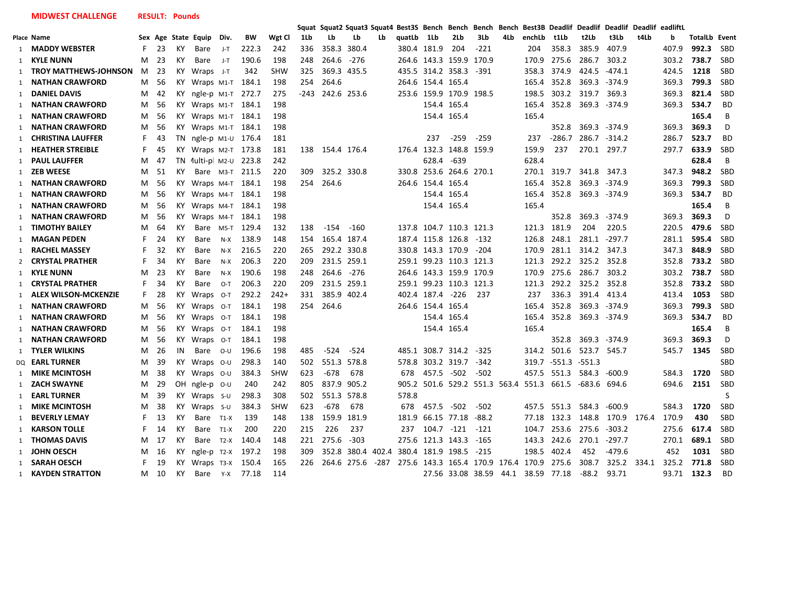**MIDWEST CHALLENGE RESULT: Pounds**

|              |                              |    |     |           |                                |        |       |            |      | Squat Squat2 Squat3 Squat4 |             |      | Best3S Bench |                   | Bench                   | Bench Bench                   |      |                                           | Best3B Deadlif Deadlif |              | Deadlif Deadlif eadliftL |       |       |                      |            |
|--------------|------------------------------|----|-----|-----------|--------------------------------|--------|-------|------------|------|----------------------------|-------------|------|--------------|-------------------|-------------------------|-------------------------------|------|-------------------------------------------|------------------------|--------------|--------------------------|-------|-------|----------------------|------------|
|              | Place Name                   |    |     |           | Sex Age State Equip            | Div.   | BW    | Wgt Cl     | 1Lb  | Lb                         | Lb          | Lb   | quatLb       | 1Lb               | 2Lb                     | 3Lb                           | 4Lb  | enchLb                                    | t1Lb                   | t2Lb         | t3Lb                     | t4Lb  | b     | <b>TotalLb Event</b> |            |
|              | 1 MADDY WEBSTER              | F. | 23  | КY        | Bare                           | J-T    | 222.3 | 242        | 336  | 358.3                      | 380.4       |      |              | 380.4 181.9       | 204                     | -221                          |      | 204                                       | 358.3                  | 385.9        | 407.9                    |       | 407.9 | 992.3                | <b>SBD</b> |
|              | 1 KYLE NUNN                  | м  | 23  | ΚY        | Bare                           | $J-T$  | 190.6 | 198        | 248  | 264.6                      | $-276$      |      |              |                   | 264.6 143.3 159.9       | 170.9                         |      |                                           | 170.9 275.6            | 286.7        | 303.2                    |       | 303.2 | 738.7                | <b>SBD</b> |
| 1            | <b>TROY MATTHEWS-JOHNSON</b> | M  | 23  | ΚY        | Wraps J-T                      |        | 342   | <b>SHW</b> | 325  | 369.3 435.5                |             |      |              |                   | 435.5 314.2 358.3       | -391                          |      | 358.3 374.9                               |                        | 424.5        | $-474.1$                 |       | 424.5 | 1218                 | SBD        |
|              | 1 NATHAN CRAWFORD            | м  | 56  | KY.       | Wraps M1-T                     |        | 184.1 | 198        | 254  | 264.6                      |             |      |              | 264.6 154.4 165.4 |                         |                               |      |                                           | 165.4 352.8            | 369.3        | -374.9                   |       | 369.3 | 799.3                | SBD        |
|              | 1 DANIEL DAVIS               | M  | 42  | KY.       | ngle-p M1-T 272.7              |        |       | 275        | -243 | 242.6 253.6                |             |      |              |                   | 253.6 159.9 170.9 198.5 |                               |      | 198.5                                     | 303.2                  | 319.7        | 369.3                    |       | 369.3 | 821.4                | <b>SBD</b> |
| 1            | <b>NATHAN CRAWFORD</b>       | M  | 56  |           | KY Wraps M1-T 184.1            |        |       | 198        |      |                            |             |      |              |                   | 154.4 165.4             |                               |      | 165.4                                     | 352.8                  |              | 369.3 -374.9             |       | 369.3 | 534.7                | <b>BD</b>  |
|              | 1 NATHAN CRAWFORD            | м  | -56 |           | KY Wraps M1-T 184.1            |        |       | 198        |      |                            |             |      |              |                   | 154.4 165.4             |                               |      | 165.4                                     |                        |              |                          |       |       | 165.4                | B          |
| 1            | <b>NATHAN CRAWFORD</b>       | M  | 56  |           | KY Wraps M1-T 184.1            |        |       | 198        |      |                            |             |      |              |                   |                         |                               |      |                                           | 352.8                  |              | 369.3 -374.9             |       | 369.3 | 369.3                | D          |
| 1            | <b>CHRISTINA LAUFFER</b>     | F  | 43  | <b>TN</b> | ngle-p M <sub>1</sub> -0 176.4 |        |       | 181        |      |                            |             |      |              | 237               | $-259$                  | $-259$                        |      | 237                                       | $-286.7$               |              | 286.7 -314.2             |       | 286.7 | 523.7                | <b>BD</b>  |
| 1            | <b>HEATHER STREIBLE</b>      | F. | 45  | KY.       | Wraps M2-T 173.8               |        |       | 181        | 138  | 154.4 176.4                |             |      |              |                   | 176.4 132.3 148.8 159.9 |                               |      | 159.9                                     | 237                    | 270.1 297.7  |                          |       | 297.7 | 633.9                | <b>SBD</b> |
|              | 1 PAUL LAUFFER               | M  | 47  |           | TN 1ulti-p M2-U 223.8          |        |       | 242        |      |                            |             |      |              | 628.4             | $-639$                  |                               |      | 628.4                                     |                        |              |                          |       |       | 628.4                | B          |
| 1            | ZEB WEESE                    | M  | 51  | ΚY        | Bare M3-T                      |        | 211.5 | 220        | 309  | 325.2 330.8                |             |      |              |                   | 330.8 253.6 264.6 270.1 |                               |      |                                           | 270.1 319.7            | 341.8        | 347.3                    |       | 347.3 | 948.2                | SBD        |
|              | 1 NATHAN CRAWFORD            | M  | 56  | KY.       | Wraps M4-T 184.1               |        |       | 198        | 254  | 264.6                      |             |      |              | 264.6 154.4 165.4 |                         |                               |      |                                           | 165.4 352.8            |              | 369.3 -374.9             |       | 369.3 | 799.3                | <b>SBD</b> |
| $\mathbf{1}$ | NATHAN CRAWFORD              | M  | 56  | KY.       | Wraps M4-T 184.1               |        |       | 198        |      |                            |             |      |              |                   | 154.4 165.4             |                               |      | 165.4                                     | 352.8                  |              | 369.3 -374.9             |       | 369.3 | 534.7                | <b>BD</b>  |
| 1            | <b>NATHAN CRAWFORD</b>       | M  | 56  | KY.       | Wraps M4-T 184.1               |        |       | 198        |      |                            |             |      |              |                   | 154.4 165.4             |                               |      | 165.4                                     |                        |              |                          |       |       | 165.4                | B          |
|              | 1 NATHAN CRAWFORD            | м  | 56  | KY.       | Wraps M4-T 184.1               |        |       | 198        |      |                            |             |      |              |                   |                         |                               |      |                                           | 352.8                  | 369.3        | -374.9                   |       | 369.3 | 369.3                | D          |
| 1            | <b>TIMOTHY BAILEY</b>        | M  | 64  | КY        | Bare M5-T                      |        | 129.4 | 132        | 138  | -154                       | $-160$      |      |              |                   | 137.8 104.7 110.3 121.3 |                               |      | 121.3 181.9                               |                        | 204          | 220.5                    |       | 220.5 | 479.6                | SBD        |
|              | 1 MAGAN PEDEN                | F. | 24  | КY        | Bare                           | $N-X$  | 138.9 | 148        | 154  | 165.4 187.4                |             |      |              |                   | 187.4 115.8 126.8       | $-132$                        |      | 126.8                                     | 248.1                  |              | 281.1 -297.7             |       | 281.1 | 595.4                | <b>SBD</b> |
|              | 1 RACHEL MASSEY              | F. | 32  | ΚY        | Bare                           | $N-X$  | 216.5 | 220        | 265  | 292.2 330.8                |             |      |              |                   | 330.8 143.3 170.9       | -204                          |      |                                           | 170.9 281.1            | 314.2        | 347.3                    |       | 347.3 | 848.9                | SBD        |
|              | 2 <b>CRYSTAL PRATHER</b>     | F  | 34  | K٢        | Bare                           | $N-X$  | 206.3 | 220        | 209  | 231.5 259.1                |             |      |              |                   | 259.1 99.23 110.3 121.3 |                               |      |                                           | 121.3 292.2            | 325.2 352.8  |                          |       |       | 352.8 733.2          | <b>SBD</b> |
| 1            | KYLE NUNN                    | м  | 23  | КY        | Bare                           | $N-X$  | 190.6 | 198        | 248  | 264.6                      | $-276$      |      |              |                   | 264.6 143.3 159.9 170.9 |                               |      |                                           | 170.9 275.6            | 286.7        | 303.2                    |       | 303.2 | 738.7                | SBD        |
| 1            | <b>CRYSTAL PRATHER</b>       | F  | 34  | KY        | Bare                           | $O-T$  | 206.3 | 220        | 209  | 231.5 259.1                |             |      |              |                   | 259.1 99.23 110.3 121.3 |                               |      |                                           | 121.3 292.2            | 325.2 352.8  |                          |       | 352.8 | 733.2                | <b>SBD</b> |
| 1            | <b>ALEX WILSON-MCKENZIE</b>  | F  | 28  | КY        | Wraps 0-T                      |        | 292.2 | $242+$     | 331  | 385.9                      | 402.4       |      |              | 402.4 187.4 -226  |                         | 237                           |      | 237                                       | 336.3                  | 391.4        | 413.4                    |       | 413.4 | 1053                 | SBD        |
| 1            | <b>NATHAN CRAWFORD</b>       | м  | 56  | KY.       | Wraps 0-T                      |        | 184.1 | 198        | 254  | 264.6                      |             |      |              | 264.6 154.4 165.4 |                         |                               |      | 165.4                                     | 352.8                  |              | 369.3 -374.9             |       | 369.3 | 799.3                | SBD        |
|              | 1 NATHAN CRAWFORD            | M  | 56  |           | KY Wraps 0-T                   |        | 184.1 | 198        |      |                            |             |      |              |                   | 154.4 165.4             |                               |      | 165.4                                     | 352.8                  |              | 369.3 -374.9             |       | 369.3 | 534.7                | <b>BD</b>  |
|              | 1 NATHAN CRAWFORD            | M  | 56  | KY.       | Wraps 0-T                      |        | 184.1 | 198        |      |                            |             |      |              |                   | 154.4 165.4             |                               |      | 165.4                                     |                        |              |                          |       |       | 165.4                | B          |
|              | 1 NATHAN CRAWFORD            | м  | 56  | KY.       | Wraps 0-T                      |        | 184.1 | 198        |      |                            |             |      |              |                   |                         |                               |      |                                           | 352.8                  |              | 369.3 -374.9             |       | 369.3 | 369.3                | D          |
|              | 1 TYLER WILKINS              | м  | 26  | IN        | Bare                           | O-U    | 196.6 | 198        | 485  | $-524$                     | -524        |      |              |                   | 485.1 308.7 314.2 -325  |                               |      |                                           | 314.2 501.6            | 523.7 545.7  |                          |       | 545.7 | 1345                 | <b>SBD</b> |
|              | DQ <b>EARL TURNER</b>        | м  | 39  | КY        | Wraps $O-U$                    |        | 298.3 | 140        | 502  | 551.3                      | 578.8       |      | 578.8        |                   | 303.2 319.7             | -342                          |      |                                           | 319.7 -551.3 -551.3    |              |                          |       |       |                      | SBD        |
|              | 1 MIKE MCINTOSH              | м  | 38  | KY.       | Wraps 0-U                      |        | 384.3 | <b>SHW</b> | 623  | -678                       | 678         |      | 678          |                   | 457.5 -502              | -502                          |      | 457.5 551.3                               |                        | 584.3        | -600.9                   |       | 584.3 | 1720                 | <b>SBD</b> |
|              | 1 ZACH SWAYNE                | M  | 29  |           | OH $ngle-p$ $O-U$              |        | 240   | 242        | 805  | 837.9                      | 905.2       |      |              |                   |                         | 905.2 501.6 529.2 551.3 563.4 |      | 551.3 661.5                               |                        | -683.6 694.6 |                          |       | 694.6 | 2151                 | SBD        |
|              | 1 <b>EARL TURNER</b>         | М  | 39  |           | $KY$ Wraps $s$ -U              |        | 298.3 | 308        | 502  | 551.3                      | 578.8       |      | 578.8        |                   |                         |                               |      |                                           |                        |              |                          |       |       |                      | S          |
| $\mathbf{1}$ | <b>MIKE MCINTOSH</b>         | м  | 38  | КY        | Wraps $S-U$                    |        | 384.3 | <b>SHW</b> | 623  | $-678$                     | 678         |      | 678          | 457.5             | -502                    | $-502$                        |      | 457.5 551.3                               |                        | 584.3        | $-600.9$                 |       | 584.3 | 1720                 | <b>SBD</b> |
|              | 1 BEVERLY LEMAY              | F. | 13  | КY        | Bare                           | $T1-X$ | 139   | 148        | 138  | 159.9                      | 181.9       |      | 181.9        |                   | 66.15 77.18             | $-88.2$                       |      |                                           | 77.18 132.3            | 148.8        | 170.9 176.4              |       | 170.9 | 430                  | <b>SBD</b> |
|              | 1 <b>KARSON TOLLE</b>        | F  | 14  | КY        | Bare                           | $T1-X$ | 200   | 220        | 215  | 226                        | 237         |      | 237          | 104.7 -121        |                         | $-121$                        |      | 104.7                                     | 253.6                  | 275.6        | $-303.2$                 |       | 275.6 | 617.4                | SBD        |
|              | 1 THOMAS DAVIS               | м  | 17  | KY        | Bare                           | $T2-X$ | 140.4 | 148        | 221  | 275.6                      | $-303$      |      |              |                   | 275.6 121.3 143.3       | -165                          |      | 143.3                                     | 242.6                  | 270.1        | $-297.7$                 |       | 270.1 | 689.1                | SBD        |
| 1            | JOHN OESCH                   | M  | 16  | KY.       | ngle-p T2-X                    |        | 197.2 | 198        | 309  | 352.8                      | 380.4 402.4 |      |              |                   | 380.4 181.9 198.5       | -215                          |      | 198.5                                     | 402.4                  | 452          | $-479.6$                 |       | 452   | 1031                 | <b>SBD</b> |
|              | 1 SARAH OESCH                | F  | 19  | KY.       | Wraps T3-X                     |        | 150.4 | 165        | 226  |                            | 264.6 275.6 | -287 |              |                   |                         |                               |      | 275.6 143.3 165.4 170.9 176.4 170.9 275.6 |                        | 308.7        | 325.2                    | 334.1 | 325.2 | 771.8                | SBD        |
|              | 1 KAYDEN STRATTON            | м  | 10  | KY        | Bare                           | $Y-X$  | 77.18 | 114        |      |                            |             |      |              |                   | 27.56 33.08 38.59       |                               | 44.1 | 38.59 77.18                               |                        | $-88.2$      | 93.71                    |       | 93.71 | 132.3                | <b>BD</b>  |